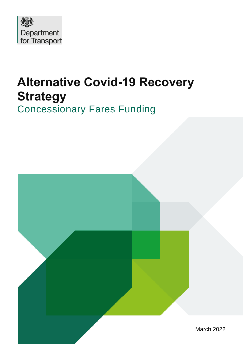

# **Alternative Covid-19 Recovery Strategy** Concessionary Fares Funding

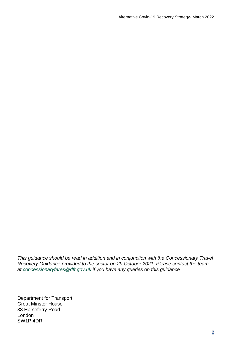*This guidance should be read in addition and in conjunction with the Concessionary Travel Recovery Guidance provided to the sector on 29 October 2021. Please contact the team at [concessionaryfares@dft.gov.uk](mailto:concessionaryfares@dft.gov.uk) if you have any queries on this guidance*

Department for Transport Great Minster House 33 Horseferry Road London SW1P 4DR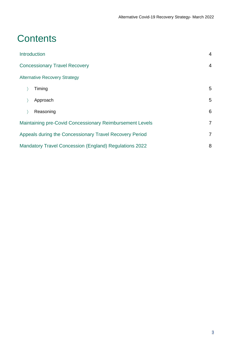## **Contents**

| Introduction                                                  | $\overline{4}$ |
|---------------------------------------------------------------|----------------|
| <b>Concessionary Travel Recovery</b>                          |                |
| <b>Alternative Recovery Strategy</b>                          |                |
| Timing                                                        | 5              |
| Approach                                                      | 5              |
| Reasoning                                                     | 6              |
| Maintaining pre-Covid Concessionary Reimbursement Levels      |                |
| Appeals during the Concessionary Travel Recovery Period       | $\overline{7}$ |
| <b>Mandatory Travel Concession (England) Regulations 2022</b> |                |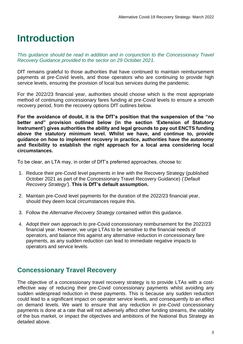## **Introduction**

*This guidance should be read in addition and in conjunction to the Concessionary Travel Recovery Guidance provided to the sector on 29 October 2021.*

DfT remains grateful to those authorities that have continued to maintain reimbursement payments at pre-Covid levels, and those operators who are continuing to provide high service levels, ensuring the provision of local bus services during the pandemic.

For the 2022/23 financial year, authorities should choose which is the most appropriate method of continuing concessionary fares funding at pre-Covid levels to ensure a smooth recovery period, from the recovery options DfT outlines below.

**For the avoidance of doubt, it is the DfT's position that the suspension of the "no better and" provision outlined below (in the section 'Extension of Statutory Instrument') gives authorities the ability and legal grounds to pay out ENCTS funding above the statutory minimum level. Whilst we have, and continue to, provide guidance on how to implement recovery in practice, authorities have the autonomy and flexibility to establish the right approach for a local area considering local circumstances.**

To be clear, an LTA may, in order of DfT's preferred approaches, choose to:

- 1. Reduce their pre-Covid level payments in line with the Recovery Strategy (published October 2021 as part of the Concessionary Travel Recovery Guidance) ('*Default Recovery Strategy'*). **This is DfT's default assumption.**
- 2. Maintain pre-Covid level payments for the duration of the 2022/23 financial year, should they deem local circumstances require this.
- 3. Follow the *Alternative Recovery Strategy* contained within this guidance.
- 4. Adopt their own approach to pre-Covid concessionary reimbursement for the 2022/23 financial year. However, we urge LTAs to be sensitive to the financial needs of operators, and balance this against any alternative reduction in concessionary fare payments, as any sudden reduction can lead to immediate negative impacts to operators and service levels.

## **Concessionary Travel Recovery**

The objective of a concessionary travel recovery strategy is to provide LTAs with a costeffective way of reducing their pre-Covid concessionary payments whilst avoiding any sudden widespread reduction in these payments. This is because any sudden reduction could lead to a significant impact on operator service levels, and consequently to an effect on demand levels. We want to ensure that any reduction in pre-Covid concessionary payments is done at a rate that will not adversely affect other funding streams, the viability of the bus market, or impact the objectives and ambitions of the National Bus Strategy as detailed above.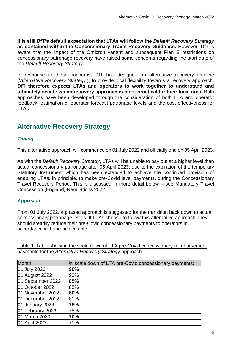**It is still DfT's default expectation that LTAs will follow the** *Default Recovery Strategy* **as contained within the Concessionary Travel Recovery Guidance.** However, DfT is aware that the impact of the Omicron variant and subsequent Plan B restrictions on concessionary patronage recovery have raised some concerns regarding the start date of the *Default Recovery Strategy.* 

In response to these concerns, DfT has designed an alternative recovery timeline ('*Alternative Recovery Strategy'*), to provide local flexibility towards a recovery approach. **DfT therefore expects LTAs and operators to work together to understand and ultimately decide which recovery approach is most practical for their local area.** Both approaches have been developed through the consideration of both LTA and operator feedback, estimation of operator forecast patronage levels and the cost effectiveness for LTAs.

## **Alternative Recovery Strategy**

#### *Timing*

This alternative approach will commence on 01 July 2022 and officially end on 05 April 2023.

As with the *Default Recovery Strategy*, LTAs will be unable to pay out at a higher level than actual concessionary patronage after 05 April 2023, due to the expiration of the temporary Statutory Instrument which has been extended to achieve the continued provision of enabling LTAs, in principle, to make pre-Covid level payments, during the Concessionary Travel Recovery Period. This is discussed in more detail below – see Mandatory Travel Concession (England) Regulations 2022.

#### *Approach*

From 01 July 2022, a phased approach is suggested for the transition back down to actual concessionary patronage levels. If LTAs choose to follow this alternative approach, they should steadily reduce their pre-Covid concessionary payments to operators in accordance with the below table.

Table 1: Table showing the scale down of LTA pre-Covid concessionary reimbursement payments for the *Alternative Recovery Strategy* approach

| Month:            | % scale down of LTA pre-Covid concessionary payments: |
|-------------------|-------------------------------------------------------|
| 01 July 2022      | 90%                                                   |
| 01 August 2022    | 90%                                                   |
| 01 September 2022 | 85%                                                   |
| 01 October 2022   | 85%                                                   |
| 01 November 2022  | 80%                                                   |
| 01 December 2022  | 80%                                                   |
| 01 January 2023   | 75%                                                   |
| 01 February 2023  | 75%                                                   |
| 01 March 2023     | 70%                                                   |
| 01 April 2023     | 70%                                                   |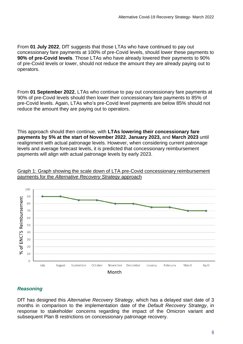From **01 July 2022**, DfT suggests that those LTAs who have continued to pay out concessionary fare payments at 100% of pre-Covid levels, should lower these payments to **90% of pre-Covid levels**. Those LTAs who have already lowered their payments to 90% of pre-Covid levels or lower, should not reduce the amount they are already paying out to operators.

From **01 September 2022**, LTAs who continue to pay out concessionary fare payments at 90% of pre-Covid levels should then lower their concessionary fare payments to 85% of pre-Covid levels. Again, LTAs who's pre-Covid level payments are below 85% should not reduce the amount they are paying out to operators.

This approach should then continue, with **LTAs lowering their concessionary fare payments by 5% at the start of November 2022**, **January 2023,** and **March 2023** until realignment with actual patronage levels. However, when considering current patronage levels and average forecast levels, it is predicted that concessionary reimbursement payments will align with actual patronage levels by early 2023.



Graph 1: Graph showing the scale down of LTA pre-Covid concessionary reimbursement payments for the *Alternative Recovery Strategy* approach

#### *Reasoning*

DfT has designed this *Alternative Recovery Strategy*, which has a delayed start date of 3 months in comparison to the implementation date of the *Default Recovery Strategy*, in response to stakeholder concerns regarding the impact of the Omicron variant and subsequent Plan B restrictions on concessionary patronage recovery.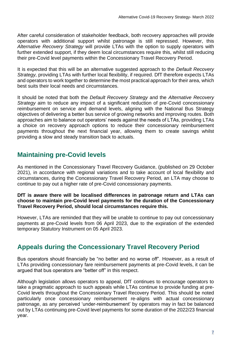After careful consideration of stakeholder feedback, both recovery approaches will provide operators with additional support whilst patronage is still repressed. However, this *Alternative Recovery Strategy* will provide LTAs with the option to supply operators with further extended support, if they deem local circumstances require this, whilst still reducing their pre-Covid level payments within the Concessionary Travel Recovery Period.

It is expected that this will be an alternative suggested approach to the *Default Recovery Strategy,* providing LTAs with further local flexibility, if required. DfT therefore expects LTAs and operators to work together to determine the most practical approach for their area, which best suits their local needs and circumstances.

It should be noted that both the *Default Recovery Strategy* and the *Alternative Recovery Strategy* aim to reduce any impact of a significant reduction of pre-Covid concessionary reimbursement on service and demand levels, aligning with the National Bus Strategy objectives of delivering a better bus service of growing networks and improving routes. Both approaches aim to balance out operators' needs against the needs of LTAs, providing LTAs a choice on recovery approach options to reduce their concessionary reimbursement payments throughout the next financial year, allowing them to create savings whilst providing a slow and steady transition back to actuals.

## **Maintaining pre-Covid levels**

As mentioned in the Concessionary Travel Recovery Guidance, (published on 29 October 2021), in accordance with regional variations and to take account of local flexibility and circumstances, during the Concessionary Travel Recovery Period, an LTA may choose to continue to pay out a higher rate of pre-Covid concessionary payments.

#### **DfT is aware there will be localised differences in patronage return and LTAs can choose to maintain pre-Covid level payments for the duration of the Concessionary Travel Recovery Period, should local circumstances require this.**

However, LTAs are reminded that they will be unable to continue to pay out concessionary payments at pre-Covid levels from 06 April 2023, due to the expiration of the extended temporary Statutory Instrument on 05 April 2023.

## **Appeals during the Concessionary Travel Recovery Period**

Bus operators should financially be "no better and no worse off". However, as a result of LTAs providing concessionary fare reimbursement payments at pre-Covid levels, it can be argued that bus operators are "better off" in this respect.

Although legislation allows operators to appeal, DfT continues to encourage operators to take a pragmatic approach to such appeals while LTAs continue to provide funding at pre-Covid levels throughout the Concessionary Travel Recovery Period. This should be noted particularly once concessionary reimbursement re-aligns with actual concessionary patronage, as any perceived 'under-reimbursement' by operators may in fact be balanced out by LTAs continuing pre-Covid level payments for some duration of the 2022/23 financial year.